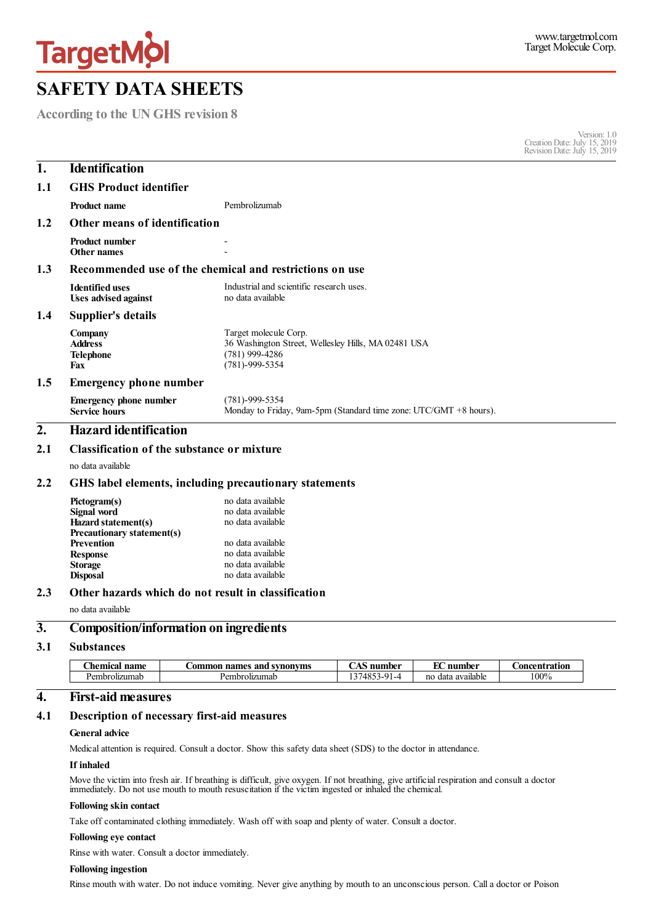

**According to the UN GHS revision 8**

Version: 1.0 CreationDate:July 15, 2019 RevisionDate:July 15, 2019

| 1.  | <b>Identification</b>                                                                                             |                                                                                                                          |  |  |  |
|-----|-------------------------------------------------------------------------------------------------------------------|--------------------------------------------------------------------------------------------------------------------------|--|--|--|
| 1.1 | <b>GHS Product identifier</b>                                                                                     |                                                                                                                          |  |  |  |
|     | <b>Product name</b>                                                                                               | Pembrolizumab                                                                                                            |  |  |  |
| 1.2 | Other means of identification                                                                                     |                                                                                                                          |  |  |  |
|     | <b>Product number</b><br><b>Other names</b>                                                                       |                                                                                                                          |  |  |  |
| 1.3 | Recommended use of the chemical and restrictions on use                                                           |                                                                                                                          |  |  |  |
|     | <b>Identified uses</b><br><b>Uses advised against</b>                                                             | Industrial and scientific research uses.<br>no data available                                                            |  |  |  |
| 1.4 | <b>Supplier's details</b>                                                                                         |                                                                                                                          |  |  |  |
|     | Company<br><b>Address</b><br><b>Telephone</b><br><b>Fax</b>                                                       | Target molecule Corp.<br>36 Washington Street, Wellesley Hills, MA 02481 USA<br>$(781)$ 999-4286<br>$(781) - 999 - 5354$ |  |  |  |
| 1.5 | <b>Emergency phone number</b>                                                                                     |                                                                                                                          |  |  |  |
|     | <b>Emergency phone number</b><br><b>Service hours</b>                                                             | $(781) - 999 - 5354$<br>Monday to Friday, 9am-5pm (Standard time zone: UTC/GMT +8 hours).                                |  |  |  |
| 2.  | <b>Hazard</b> identification                                                                                      |                                                                                                                          |  |  |  |
| 2.1 | Classification of the substance or mixture                                                                        |                                                                                                                          |  |  |  |
|     | no data available                                                                                                 |                                                                                                                          |  |  |  |
| 2.2 | GHS label elements, including precautionary statements                                                            |                                                                                                                          |  |  |  |
|     | Pictogram(s)<br>Signal word<br>Hazard statement(s)<br>Precautionary statement(s)<br>Prevention<br><b>Response</b> | no data available<br>no data available<br>no data available<br>no data available<br>no data available                    |  |  |  |
|     | <b>Storage</b><br><b>Disposal</b>                                                                                 | no data available<br>no data available                                                                                   |  |  |  |
| 2.3 | Other hazards which do not result in classification                                                               |                                                                                                                          |  |  |  |
|     | no data available                                                                                                 |                                                                                                                          |  |  |  |
| 3.  | <b>Composition/information on ingredients</b>                                                                     |                                                                                                                          |  |  |  |
| 3.1 | <b>Substances</b>                                                                                                 |                                                                                                                          |  |  |  |

| $\sim$<br>name<br>_hemica* | and s<br>l svnonvms<br>names<br>.ommor | $\sim$ . $\sim$<br>number                           | T.C<br>nur<br>nhor<br>∽ | . oncentration |
|----------------------------|----------------------------------------|-----------------------------------------------------|-------------------------|----------------|
| Pembrolizumab              | embrolizumab<br>سمد                    | $\sim$ 1<br>/485?<br>$\sim$ $\sim$ $\sim$<br>.<br>. | no data available       | 100%           |

### **4. First-aid measures**

#### **4.1 Description of necessary first-aid measures**

## **General advice**

Medicalattention is required. Consult a doctor. Show this safety data sheet (SDS) to the doctor in attendance.

### **If inhaled**

Move the victim into fresh air. If breathing is difficult, give oxygen. If not breathing, give artificial respiration and consult a doctor immediately. Do not use mouth to mouth resuscitation if the victim ingested or inhaled the chemical.

# **Following skin contact**

Take off contaminated clothing immediately. Wash off with soap and plenty of water. Consult a doctor.

# **Following eye contact**

Rinse with water. Consult a doctor immediately.

## **Following ingestion**

Rinse mouth with water. Do not induce vomiting. Never give anything by mouth to an unconscious person. Calla doctor or Poison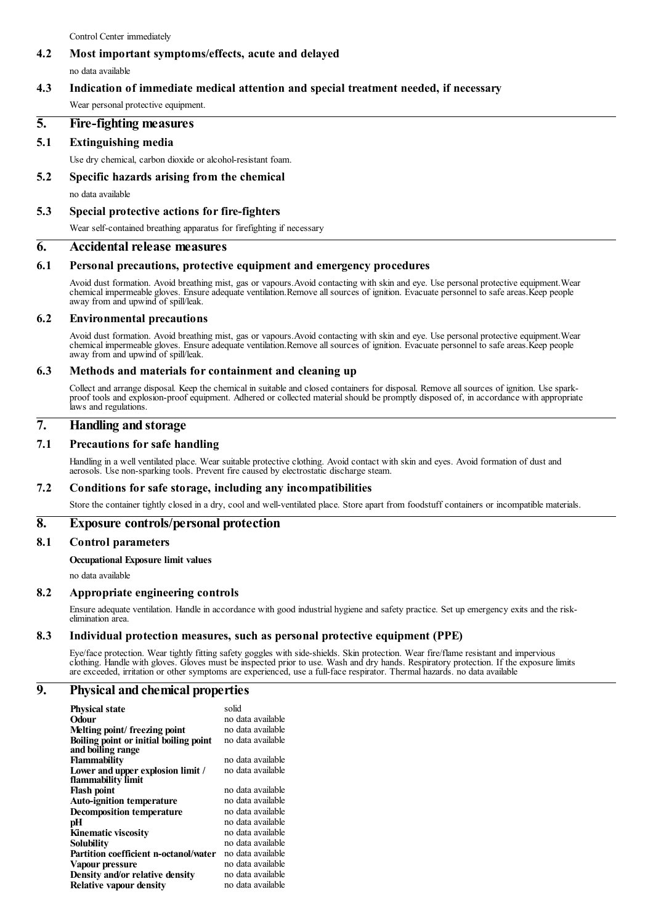Control Center immediately

#### **4.2 Most important symptoms/effects, acute and delayed**

no data available

#### **4.3 Indication of immediate medical attention and special treatment needed, if necessary**

Wear personal protective equipment.

#### **5. Fire-fighting measures**

#### **5.1 Extinguishing media**

Use dry chemical, carbon dioxide or alcohol-resistant foam.

### **5.2 Specific hazards arising from the chemical** no data available

**5.3 Special protective actions for fire-fighters**

Wear self-contained breathing apparatus for firefighting if necessary

#### **6. Accidental release measures**

#### **6.1 Personal precautions, protective equipment and emergency procedures**

Avoid dust formation. Avoid breathing mist, gas or vapours.Avoid contacting with skin and eye. Use personal protective equipment.Wear chemical impermeable gloves. Ensure adequate ventilation.Remove all sources of ignition. Evacuate personnel to safe areas.Keep people away from and upwind of spill/leak.

#### **6.2 Environmental precautions**

Avoid dust formation. Avoid breathing mist, gas or vapours.Avoid contacting with skin and eye. Use personal protective equipment.Wear chemical impermeable gloves. Ensure adequate ventilation.Remove all sources of ignition. Evacuate personnel to safe areas.Keep people away from and upwind of spill/leak.

#### **6.3 Methods and materials for containment and cleaning up**

Collect and arrange disposal. Keep the chemical in suitable and closed containers for disposal. Remove all sources of ignition. Use sparkproof tools and explosion-proof equipment. Adhered or collected material should be promptly disposed of, in accordance with appropriate laws and regulations.

#### **7. Handling and storage**

#### **7.1 Precautions for safe handling**

Handling in a well ventilated place. Wear suitable protective clothing. Avoid contact with skin and eyes. Avoid formation of dust and aerosols. Use non-sparking tools. Prevent fire caused by electrostatic discharge steam.

#### **7.2 Conditions for safe storage, including any incompatibilities**

Store the container tightly closed in a dry, cool and well-ventilated place. Store apart from foodstuff containers or incompatible materials.

#### **8. Exposure controls/personal protection**

#### **8.1 Control parameters**

## **Occupational Exposure limit values**

no data available

#### **8.2 Appropriate engineering controls**

Ensure adequate ventilation. Handle in accordance with good industrial hygiene and safety practice. Set up emergency exits and the riskelimination area.

#### **8.3 Individual protection measures, such as personal protective equipment (PPE)**

Eye/face protection. Wear tightly fitting safety goggles with side-shields. Skin protection. Wear fire/flame resistant and impervious clothing. Handle with gloves. Gloves must be inspected prior to use. Wash and dry hands. Respiratory protection. If the exposure limits are exceeded, irritation or other symptoms are experienced, use a full-face respirator. Thermal hazards. no data available

#### **9. Physical and chemical properties**

| <b>Physical state</b><br>Odour                                         | solid<br>no data available             |
|------------------------------------------------------------------------|----------------------------------------|
| Melting point/freezing point<br>Boiling point or initial boiling point | no data available<br>no data available |
| and boiling range<br><b>Flammability</b>                               | no data available                      |
| Lower and upper explosion limit /<br>flammability limit                | no data available                      |
| <b>Flash point</b>                                                     | no data available                      |
| <b>Auto-ignition temperature</b>                                       | no data available                      |
| <b>Decomposition temperature</b>                                       | no data available                      |
| рH                                                                     | no data available                      |
| <b>Kinematic viscosity</b>                                             | no data available                      |
| Solubility                                                             | no data available                      |
| <b>Partition coefficient n-octanol/water</b>                           | no data available                      |
| Vapour pressure                                                        | no data available                      |
| Density and/or relative density                                        | no data available                      |
| <b>Relative vapour density</b>                                         | no data available                      |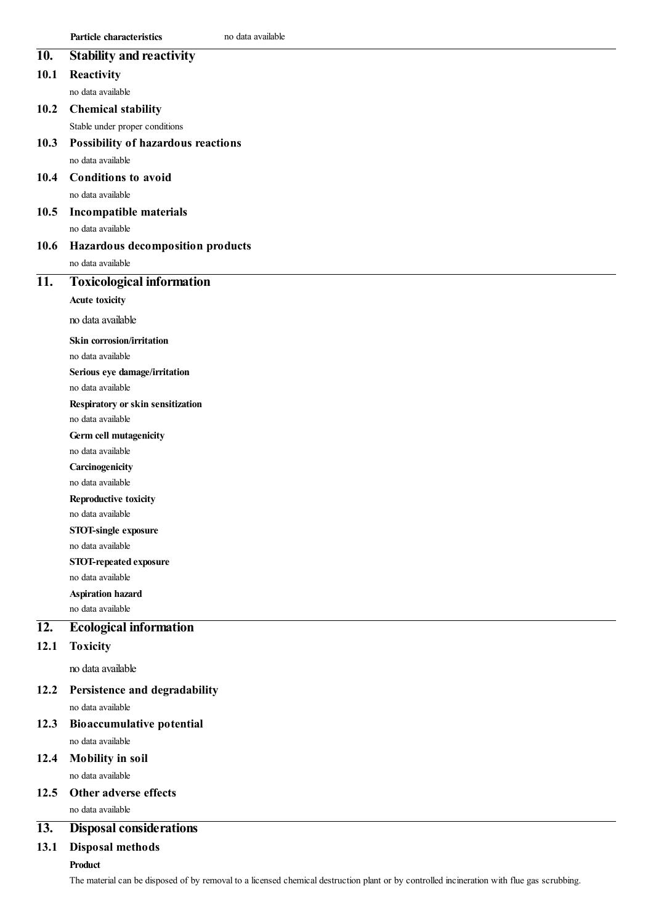|                   | <b>Particle characteristics</b><br>no data available |
|-------------------|------------------------------------------------------|
| 10.               | <b>Stability and reactivity</b>                      |
| 10.1              | Reactivity                                           |
|                   | no data available                                    |
| 10.2              | <b>Chemical stability</b>                            |
|                   | Stable under proper conditions                       |
| 10.3              | Possibility of hazardous reactions                   |
|                   | no data available                                    |
| 10.4              | <b>Conditions to avoid</b>                           |
|                   | no data available                                    |
| 10.5              | Incompatible materials                               |
|                   | no data available                                    |
| 10.6              | Hazardous decomposition products                     |
|                   | no data available                                    |
| 11.               | <b>Toxicological information</b>                     |
|                   | <b>Acute toxicity</b>                                |
|                   | no data available                                    |
|                   | <b>Skin corrosion/irritation</b>                     |
|                   | no data available                                    |
|                   | Serious eye damage/irritation                        |
|                   | no data available                                    |
|                   | Respiratory or skin sensitization                    |
|                   | no data available                                    |
|                   | Germ cell mutagenicity                               |
|                   | no data available                                    |
|                   | Carcinogenicity                                      |
|                   | no data available                                    |
|                   | Reproductive toxicity<br>no data available           |
|                   | STOT-single exposure                                 |
|                   | no data available                                    |
|                   | STOT-repeated exposure                               |
|                   | no data available                                    |
|                   | <b>Aspiration hazard</b>                             |
|                   | no data available                                    |
| $\overline{12}$ . | <b>Ecological information</b>                        |
| 12.1              | <b>Toxicity</b>                                      |
|                   | no data available                                    |
| 12.2              | Persistence and degradability                        |
|                   | no data available                                    |
| 12.3              | <b>Bioaccumulative potential</b>                     |
|                   | no data available                                    |
| 12.4              | <b>Mobility in soil</b>                              |

no data available

# **12.5 Other adverse effects**

no data available

### **13. Disposal considerations**

# **13.1 Disposal methods**

# **Product**

The material can be disposed of by removal to a licensed chemical destruction plant or by controlled incineration with flue gas scrubbing.